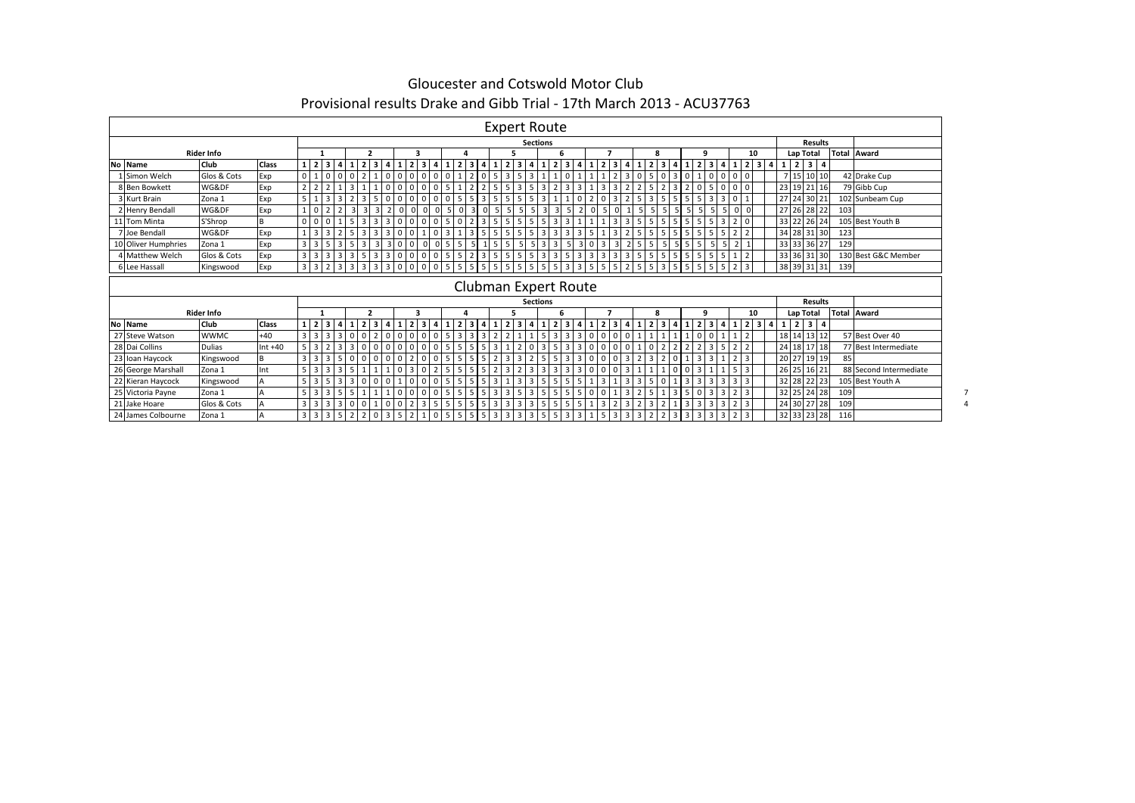|    |                                        |                     |           |                         |                                        |                |                     |                 |                          |       |                             |          |                |          |                          |                |                |                                |                          |       |                          |                 | <b>Expert Route</b> |                             |                |                 |                |              |                         |                         |                |   |                |   |   |                |                |                                  |       |                |                  |                   |            |     |                        |  |
|----|----------------------------------------|---------------------|-----------|-------------------------|----------------------------------------|----------------|---------------------|-----------------|--------------------------|-------|-----------------------------|----------|----------------|----------|--------------------------|----------------|----------------|--------------------------------|--------------------------|-------|--------------------------|-----------------|---------------------|-----------------------------|----------------|-----------------|----------------|--------------|-------------------------|-------------------------|----------------|---|----------------|---|---|----------------|----------------|----------------------------------|-------|----------------|------------------|-------------------|------------|-----|------------------------|--|
|    |                                        |                     |           |                         |                                        |                |                     |                 |                          |       |                             |          |                |          |                          |                |                |                                |                          |       |                          | <b>Sections</b> |                     |                             |                |                 |                |              |                         |                         |                |   |                |   |   |                |                |                                  |       |                |                  | <b>Results</b>    |            |     |                        |  |
|    |                                        | <b>Rider Info</b>   |           |                         |                                        |                |                     |                 |                          |       |                             |          |                |          |                          |                |                |                                |                          |       |                          |                 |                     | ĥ                           |                |                 |                |              |                         |                         |                |   |                | q |   |                | 10             |                                  |       |                | <b>Lap Total</b> |                   |            |     | <b>Total Award</b>     |  |
|    | No Name                                | Club                | Class     |                         | $1 \mid 2 \mid 3$                      |                | $\overline{\bf{4}}$ |                 |                          | 3     |                             |          | $\overline{2}$ |          | 4                        |                |                | -4                             |                          | 3     |                          |                 | 2                   | 3                           | 4              |                 |                | 3            | 4                       |                         | 3              |   |                | 3 | 4 |                | $\overline{2}$ | 3<br>$\overline{4}$              |       | $\overline{2}$ |                  | 3 4               |            |     |                        |  |
|    | 1 Simon Welch                          | Glos & Cots         | Exp       | $\overline{0}$          |                                        | l 0            |                     | $0\mid 0\mid 2$ |                          |       | 100                         |          | $\overline{0}$ | $\Omega$ | l 0                      | 0              |                | $\overline{0}$                 | l 5                      |       | $31513$                  |                 |                     |                             |                |                 |                |              | $\overline{3}$          |                         |                |   |                |   | 0 | 0              |                |                                  |       |                |                  | 7 15 10 10        |            |     | 42 Drake Cup           |  |
|    | 8 Ben Bowkett                          | WG&DF               | Exp       | $\overline{2}$          |                                        |                |                     |                 |                          |       |                             |          | $\Omega$       |          | $\Omega$                 | 5              |                |                                |                          |       |                          |                 |                     |                             | 3              |                 |                |              |                         |                         |                |   | 0              |   |   | 0              |                |                                  |       |                |                  | 23 19 21 16       |            |     | 79 Gibb Cup            |  |
|    | 3 Kurt Brain                           | Zona 1              | Exp       | 5 <sub>1</sub>          |                                        |                |                     |                 |                          |       |                             |          |                |          | 0                        |                |                |                                | $\overline{3}$           |       |                          |                 |                     |                             |                |                 |                | 3            |                         |                         |                |   |                |   |   | 0              |                |                                  | 27    |                |                  | 24 30 21          |            |     | 102 Sunbeam Cup        |  |
|    | 2 Henry Bendall                        | WG&DF               | Exp       |                         | $\Omega$                               |                |                     |                 |                          |       |                             | $\Omega$ | $\Omega$       |          |                          |                |                |                                |                          |       |                          |                 |                     |                             |                |                 |                |              |                         |                         |                |   |                |   |   |                |                |                                  |       |                |                  | 27 26 28 22       |            | 103 |                        |  |
|    | 11 Tom Minta                           | S'Shrop             | B         | $\overline{0}$          | $\mathbf 0$                            | l 0            |                     |                 |                          |       |                             |          | 0              | $\Omega$ | 0                        | 5              |                |                                | $\overline{3}$           | 5     |                          | 5               | 3                   | 3                           |                |                 |                | 3            | 3                       |                         |                |   |                |   | 3 | 2              |                |                                  |       |                |                  | 33 22 26 24       |            |     | 105 Best Youth B       |  |
|    | 7 Joe Bendall                          | WG&DF               | Exp       |                         | $\overline{3}$                         | l 3            |                     | l 3             |                          |       |                             |          | $\mathbf{0}$   |          | $\overline{0}$           | $\overline{3}$ |                | $\overline{\mathbf{3}}$<br>l 5 |                          |       | 51553                    |                 | $\overline{3}$      | 3                           | 3              | 5               |                | 3            |                         |                         |                |   |                |   | 5 | $\overline{2}$ |                |                                  |       |                |                  | 34 28 31 30       | 123        |     |                        |  |
|    | 10 Oliver Humphries                    | Zona 1              | Exp       | 3 <sup>1</sup>          | $\overline{3}$                         | -5             |                     |                 |                          |       | 300                         |          |                |          |                          | 5              |                |                                |                          |       |                          | 3               | 3                   |                             | 3              |                 |                | 3            |                         |                         |                |   |                |   |   |                |                |                                  |       |                |                  | 33 33 36 27       |            | 129 |                        |  |
|    | 4 Matthew Welch                        | Glos & Cots         | Exp       | 3 <sup>1</sup>          | $\overline{3}$                         | l 3            |                     |                 |                          |       |                             |          |                |          | 0                        | 5              |                |                                | 3                        |       |                          | 3               | 3                   |                             |                | 3               |                | 3            | 3                       |                         |                |   |                |   |   |                |                |                                  |       |                |                  | 33 36 31 30       |            |     | 130 Best G&C Member    |  |
|    | 6 Lee Hassall                          | Kingswood           | Exp       |                         | $3 \overline{3}$ $3 \overline{2}$      |                | $3 \mid 3$          | $\mathsf{I}$ 3  |                          |       | $3 \overline{3}$ 0          |          |                | $0$ 0 0  |                          | 5              |                |                                |                          |       | 5 5 5 5 5 5 5 5          |                 | 5                   | 3                           | $\overline{3}$ | 5               | -5             | 5            | $\overline{2}$          | $5 \mid 5 \mid 3$       |                |   | 5              | 5 | 5 | $\overline{2}$ | 3              |                                  |       |                |                  | 38 39 31 31       | 139        |     |                        |  |
|    |                                        |                     |           |                         |                                        |                |                     |                 |                          |       |                             |          |                |          |                          |                |                |                                |                          |       |                          |                 |                     | <b>Clubman Expert Route</b> |                |                 |                |              |                         |                         |                |   |                |   |   |                |                |                                  |       |                |                  | <b>Results</b>    |            |     |                        |  |
|    |                                        | <b>Rider Info</b>   |           |                         | $\mathbf{1}$                           |                |                     |                 | $\overline{\phantom{a}}$ |       |                             |          | 2              |          |                          |                |                |                                |                          | 5     |                          | <b>Sections</b> |                     | 6                           |                |                 |                |              |                         |                         | я              |   |                | 9 |   |                | 10             |                                  |       |                | Lap Total        |                   |            |     | <b>Total Award</b>     |  |
| No | Name                                   | Club                | Class     |                         | $2 \mid 3$                             |                |                     |                 |                          | l 3 l |                             |          | $2 \mid 3$     |          | 4                        | 1 <sup>1</sup> | $\overline{2}$ | 3                              |                          | l 3 l |                          |                 |                     | 213                         | 4              | 1 <sup>1</sup>  | $\overline{2}$ | 3            | $\overline{4}$          |                         | 3              |   | $\mathbf{2}$   | 3 | 4 | $\mathbf{1}$   | $\overline{2}$ | 3 <sup>1</sup><br>$\overline{4}$ | l 1 l |                |                  | $2 \mid 3 \mid 4$ |            |     |                        |  |
|    | 27 Steve Watson                        | <b>WWMC</b>         | $+40$     | $\overline{\mathbf{3}}$ | $\overline{3}$                         | $\overline{3}$ | $\overline{3}$      |                 |                          | 2     | $01$ 0                      |          | 0              | $\Omega$ | 0                        | 5              |                |                                | $\overline{3}$           |       |                          |                 | 3                   | 3                           | 3              | 0               | $\Omega$       | $\mathbf{0}$ | $\mathbf{0}$            |                         |                |   | 0              |   |   |                |                |                                  |       |                |                  | 18 14 13 12       |            |     | 57 Best Over 40        |  |
|    | 28 Dai Collins                         | <b>Dulias</b>       | $Int +40$ | 5 <sup>1</sup>          | $\overline{3}$                         |                | 3                   |                 |                          |       |                             |          | $\overline{0}$ | $\Omega$ | $\Omega$                 | 5              |                | .5                             |                          |       | $2 \quad 0 \quad 3$      |                 | 5 <sup>1</sup>      | 3                           | $\overline{3}$ | $\mathbf 0$     |                | $\mathbf{0}$ | $\Omega$                |                         | -2             |   |                | 3 |   | $\overline{2}$ |                |                                  |       |                |                  | 24 18 17 18       |            |     | 77 Best Intermediate   |  |
|    | 23 Ioan Haycock                        | Kingswood           | B         | $\overline{\mathbf{3}}$ | $\overline{3}$                         |                |                     |                 |                          |       |                             |          |                |          |                          | .5             |                |                                |                          |       |                          | 5               | 5                   | 3                           |                |                 |                |              | 3                       |                         |                |   |                |   |   |                | 3              |                                  |       |                |                  | 20 27 19 19       |            | 85  |                        |  |
|    | 26 George Marshall                     | Zona 1              |           | 5 <sub>1</sub>          | $\overline{3}$                         |                |                     |                 |                          |       |                             |          | 3              |          |                          |                |                |                                |                          |       |                          |                 | 3                   |                             |                |                 |                |              |                         |                         |                |   |                |   |   |                |                |                                  |       |                |                  | 26 25 16 21       |            |     | 88 Second Intermediate |  |
|    |                                        |                     | Int<br>A  | 5 <sub>1</sub>          | $\overline{3}$                         |                |                     |                 |                          |       | $\Omega$                    |          | 0              | $\Omega$ | 0                        | 5              |                | -5<br>- 5                      |                          |       |                          |                 | 5                   |                             | 5              |                 |                |              | 3                       |                         |                |   |                |   | 3 | 3              |                |                                  |       |                | 32 28 22         | 23                |            |     | 105 Best Youth A       |  |
|    | 22 Kieran Haycock<br>25 Victoria Payne | Kingswood<br>Zona 1 |           | 5 <sub>1</sub>          | $\overline{3}$                         |                |                     |                 |                          |       |                             |          |                |          |                          |                |                |                                |                          |       |                          |                 |                     |                             | 5              |                 |                |              | 3                       |                         |                |   |                |   |   | $\overline{2}$ |                |                                  |       |                |                  |                   |            |     |                        |  |
|    | 21 Jake Hoare                          |                     | A         | 3 <sup>1</sup>          | $\overline{3}$                         | l 3            | 3 <sup>0</sup>      |                 |                          |       | 0 <sub>0</sub>              |          |                |          |                          |                |                |                                |                          |       |                          |                 |                     |                             |                |                 |                |              | 3                       |                         |                |   |                |   |   |                |                |                                  |       |                |                  | 32 25 24 28<br>28 | 109<br>109 |     |                        |  |
|    |                                        | Glos & Cots         |           |                         |                                        |                |                     |                 |                          |       |                             |          |                |          |                          |                |                |                                |                          |       |                          |                 | 5                   |                             | 5              |                 |                |              |                         |                         |                |   |                |   |   |                |                |                                  |       |                | 24 30 27         |                   |            |     |                        |  |
|    | 24 James Colbourne                     | Zona 1              |           |                         | $3 \mid 3 \mid 3 \mid 5 \mid 2 \mid 2$ |                |                     |                 |                          |       | $0 \quad 3 \quad 5 \quad 2$ |          |                |          | $\overline{\phantom{0}}$ | 5 <sub>1</sub> |                |                                | $5 \mid 5 \mid 5 \mid 3$ |       | $3 \mid 3 \mid 3 \mid 5$ |                 | 5 <sub>5</sub>      | 3                           | 3              | $1\overline{ }$ | 5              | 3            | $\overline{\mathbf{3}}$ | $\overline{\mathbf{3}}$ | $\overline{2}$ | 3 | $\overline{3}$ | 3 | 3 | 2              | 3              |                                  |       |                |                  | 32 33 23 28       | 116        |     |                        |  |

## Gloucester and Cotswold Motor Club Provisional results Drake and Gibb Trial - 17th March 2013 - ACU37763